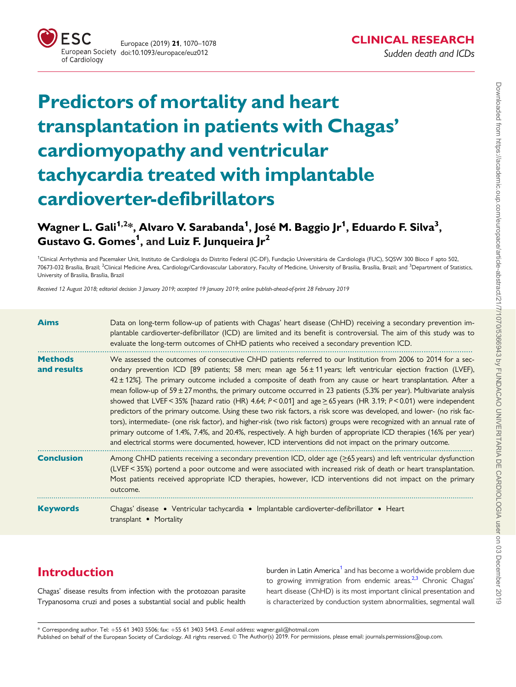<span id="page-0-0"></span>

# Predictors of mortality and heart transplantation in patients with Chagas' cardiomyopathy and ventricular tachycardia treated with implantable cardioverter-defibrillators

Wagner L. Gali $^{1,2}$ \*, Alvaro V. Sarabanda $^{1}$ , José M. Baggio Jr $^{1}$ , Eduardo F. Silva $^{3},$ Gustavo G. Gomes<sup>1</sup>, and Luiz F. Junqueira Jr<sup>2</sup>

<sup>1</sup>Clinical Arrhythmia and Pacemaker Unit, Instituto de Cardiologia do Distrito Federal (IC-DF), Fundação Universitária de Cardiologia (FUC), SQSW 300 Bloco F apto 502, 70673-032 Brasília, Brazil; <sup>2</sup>Clinical Medicine Area, Cardiology/Cardiovascular Laboratory, Faculty of Medicine, University of Brasilia, Brasília, Brazil; and <sup>3</sup>Department of Statistics, University of Brasilia, Brasília, Brazil

Received 12 August 2018; editorial decision 3 January 2019; accepted 19 January 2019; online publish-ahead-of-print 28 February 2019

| <b>Aims</b>                   | Data on long-term follow-up of patients with Chagas' heart disease (ChHD) receiving a secondary prevention im-<br>plantable cardioverter-defibrillator (ICD) are limited and its benefit is controversial. The aim of this study was to<br>evaluate the long-term outcomes of ChHD patients who received a secondary prevention ICD.                                                                                                                                                                                                                                                                                                                                                                                                                                                                                                                                                                                                                                                                                                                                                                         |
|-------------------------------|--------------------------------------------------------------------------------------------------------------------------------------------------------------------------------------------------------------------------------------------------------------------------------------------------------------------------------------------------------------------------------------------------------------------------------------------------------------------------------------------------------------------------------------------------------------------------------------------------------------------------------------------------------------------------------------------------------------------------------------------------------------------------------------------------------------------------------------------------------------------------------------------------------------------------------------------------------------------------------------------------------------------------------------------------------------------------------------------------------------|
| <b>Methods</b><br>and results | We assessed the outcomes of consecutive ChHD patients referred to our Institution from 2006 to 2014 for a sec-<br>ondary prevention ICD [89 patients; 58 men; mean age $56 \pm 11$ years; left ventricular ejection fraction (LVEF),<br>$42 \pm 12$ %]. The primary outcome included a composite of death from any cause or heart transplantation. After a<br>mean follow-up of $59 \pm 27$ months, the primary outcome occurred in 23 patients (5.3% per year). Multivariate analysis<br>showed that LVEF < 35% [hazard ratio (HR) 4.64; $P < 0.01$ ] and age $\geq$ 65 years (HR 3.19; $P < 0.01$ ) were independent<br>predictors of the primary outcome. Using these two risk factors, a risk score was developed, and lower- (no risk fac-<br>tors), intermediate- (one risk factor), and higher-risk (two risk factors) groups were recognized with an annual rate of<br>primary outcome of 1.4%, 7.4%, and 20.4%, respectively. A high burden of appropriate ICD therapies (16% per year)<br>and electrical storms were documented, however, ICD interventions did not impact on the primary outcome. |
| <b>Conclusion</b>             | Among ChHD patients receiving a secondary prevention ICD, older age $(≥65$ years) and left ventricular dysfunction<br>(LVEF < 35%) portend a poor outcome and were associated with increased risk of death or heart transplantation.<br>Most patients received appropriate ICD therapies, however, ICD interventions did not impact on the primary<br>outcome.                                                                                                                                                                                                                                                                                                                                                                                                                                                                                                                                                                                                                                                                                                                                               |
| <b>Keywords</b>               | Chagas' disease • Ventricular tachycardia • Implantable cardioverter-defibrillator • Heart<br>transplant • Mortality                                                                                                                                                                                                                                                                                                                                                                                                                                                                                                                                                                                                                                                                                                                                                                                                                                                                                                                                                                                         |

# Introduction

Chagas' disease results from infection with the protozoan parasite Trypanosoma cruzi and poses a substantial social and public health

burden in Latin America<sup>1</sup> and has become a worldwide problem due to growing immigration from endemic areas.<sup>2,3</sup> Chronic Chagas' heart disease (ChHD) is its most important clinical presentation and is characterized by conduction system abnormalities, segmental wall

\* Corresponding author. Tel: +55 61 3403 5506; fax: +55 61 3403 5443. E-mail address: wagner.gali@hotmail.com Published on behalf of the European Society of Cardiology. All rights reserved. © The Author(s) 2019. For permissions, please email: journals.permissions@oup.com.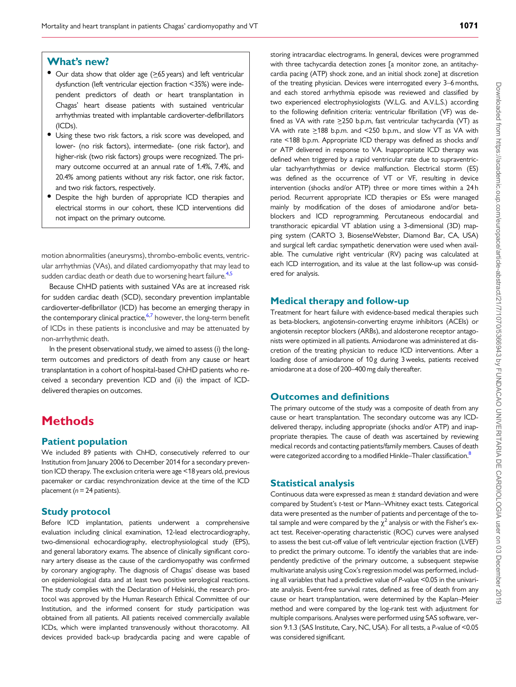#### <span id="page-1-0"></span>What's new?

- Our data show that older age  $(≥65$  years) and left ventricular dysfunction (left ventricular ejection fraction <35%) were independent predictors of death or heart transplantation in Chagas' heart disease patients with sustained ventricular arrhythmias treated with implantable cardioverter-defibrillators (ICDs).
- Using these two risk factors, a risk score was developed, and lower- (no risk factors), intermediate- (one risk factor), and higher-risk (two risk factors) groups were recognized. The primary outcome occurred at an annual rate of 1.4%, 7.4%, and 20.4% among patients without any risk factor, one risk factor, and two risk factors, respectively.
- Despite the high burden of appropriate ICD therapies and electrical storms in our cohort, these ICD interventions did not impact on the primary outcome.

motion abnormalities (aneurysms), thrombo-embolic events, ventricular arrhythmias (VAs), and dilated cardiomyopathy that may lead to sudden cardiac death or death due to worsening heart failure.<sup>[4,5](#page-8-0)</sup>

Because ChHD patients with sustained VAs are at increased risk for sudden cardiac death (SCD), secondary prevention implantable cardioverter-defibrillator (ICD) has become an emerging therapy in the contemporary clinical practice,  $6.7$  however, the long-term benefit of ICDs in these patients is inconclusive and may be attenuated by non-arrhythmic death.

In the present observational study, we aimed to assess (i) the longterm outcomes and predictors of death from any cause or heart transplantation in a cohort of hospital-based ChHD patients who received a secondary prevention ICD and (ii) the impact of ICDdelivered therapies on outcomes.

# **Methods**

#### Patient population

We included 89 patients with ChHD, consecutively referred to our Institution from January 2006 to December 2014 for a secondary prevention ICD therapy. The exclusion criteria were age <18 years old, previous pacemaker or cardiac resynchronization device at the time of the ICD placement ( $n = 24$  patients).

#### Study protocol

Before ICD implantation, patients underwent a comprehensive evaluation including clinical examination, 12-lead electrocardiography, two-dimensional echocardiography, electrophysiological study (EPS), and general laboratory exams. The absence of clinically significant coronary artery disease as the cause of the cardiomyopathy was confirmed by coronary angiography. The diagnosis of Chagas' disease was based on epidemiological data and at least two positive serological reactions. The study complies with the Declaration of Helsinki, the research protocol was approved by the Human Research Ethical Committee of our Institution, and the informed consent for study participation was obtained from all patients. All patients received commercially available ICDs, which were implanted transvenously without thoracotomy. All devices provided back-up bradycardia pacing and were capable of

storing intracardiac electrograms. In general, devices were programmed with three tachycardia detection zones [a monitor zone, an antitachycardia pacing (ATP) shock zone, and an initial shock zone] at discretion of the treating physician. Devices were interrogated every 3–6 months, and each stored arrhythmia episode was reviewed and classified by two experienced electrophysiologists (W.L.G. and A.V.L.S.) according to the following definition criteria: ventricular fibrillation (VF) was defined as VA with rate  $\geq$ 250 b.p.m, fast ventricular tachycardia (VT) as VA with rate  $\geq$ 188 b.p.m. and <250 b.p.m., and slow VT as VA with rate <188 b.p.m. Appropriate ICD therapy was defined as shocks and/ or ATP delivered in response to VA. Inappropriate ICD therapy was defined when triggered by a rapid ventricular rate due to supraventricular tachyarrhythmias or device malfunction. Electrical storm (ES) was defined as the occurrence of VT or VF, resulting in device intervention (shocks and/or ATP) three or more times within a 24 h period. Recurrent appropriate ICD therapies or ESs were managed mainly by modification of the doses of amiodarone and/or betablockers and ICD reprogramming. Percutaneous endocardial and transthoracic epicardial VT ablation using a 3-dimensional (3D) mapping system (CARTO 3, BiosenseWebster, Diamond Bar, CA, USA) and surgical left cardiac sympathetic denervation were used when available. The cumulative right ventricular (RV) pacing was calculated at each ICD interrogation, and its value at the last follow-up was considered for analysis.

#### Medical therapy and follow-up

Treatment for heart failure with evidence-based medical therapies such as beta-blockers, angiotensin-converting enzyme inhibitors (ACEIs) or angiotensin receptor blockers (ARBs), and aldosterone receptor antagonists were optimized in all patients. Amiodarone was administered at discretion of the treating physician to reduce ICD interventions. After a loading dose of amiodarone of 10 g during 3 weeks, patients received amiodarone at a dose of 200–400 mg daily thereafter.

#### Outcomes and definitions

The primary outcome of the study was a composite of death from any cause or heart transplantation. The secondary outcome was any ICDdelivered therapy, including appropriate (shocks and/or ATP) and inappropriate therapies. The cause of death was ascertained by reviewing medical records and contacting patients/family members. Causes of death were categorized according to a modified Hinkle–Thaler classification.<sup>8</sup>

#### Statistical analysis

Continuous data were expressed as mean ± standard deviation and were compared by Student's t-test or Mann–Whitney exact tests. Categorical data were presented as the number of patients and percentage of the total sample and were compared by the  $\chi^2$  analysis or with the Fisher's exact test. Receiver-operating characteristic (ROC) curves were analysed to assess the best cut-off value of left ventricular ejection fraction (LVEF) to predict the primary outcome. To identify the variables that are independently predictive of the primary outcome, a subsequent stepwise multivariate analysis using Cox's regression model was performed, including all variables that had a predictive value of P-value <0.05 in the univariate analysis. Event-free survival rates, defined as free of death from any cause or heart transplantation, were determined by the Kaplan–Meier method and were compared by the log-rank test with adjustment for multiple comparisons. Analyses were performed using SAS software, version 9.1.3 (SAS Institute, Cary, NC, USA). For all tests, a P-value of <0.05 was considered significant.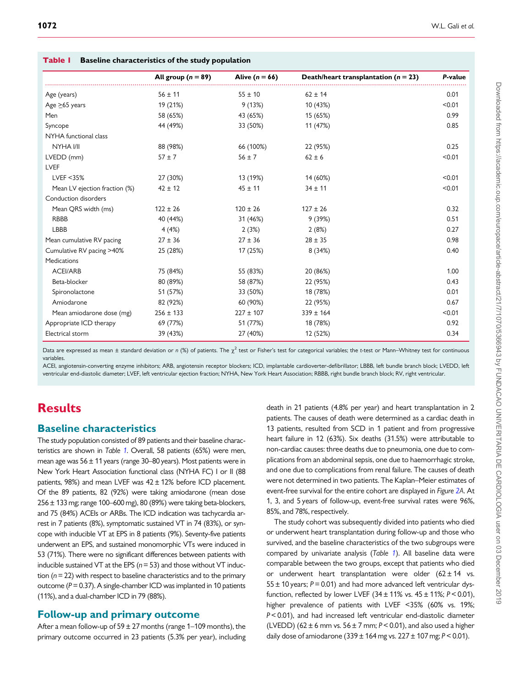|                               | All group $(n = 89)$ | Alive $(n = 66)$ | Death/heart transplantation ( $n = 23$ ) | P-value |  |  |
|-------------------------------|----------------------|------------------|------------------------------------------|---------|--|--|
| Age (years)                   | $56 \pm 11$          | $55 \pm 10$      | $62 \pm 14$                              | 0.01    |  |  |
| Age $\geq 65$ years           | 19 (21%)             | 9(13%)           | 10 (43%)                                 | < 0.01  |  |  |
| Men                           | 58 (65%)             | 43 (65%)         | 15 (65%)                                 | 0.99    |  |  |
| Syncope                       | 44 (49%)             | 33 (50%)         | 11 (47%)                                 | 0.85    |  |  |
| NYHA functional class         |                      |                  |                                          |         |  |  |
| NYHA I/II                     | 88 (98%)             | 66 (100%)        | 22 (95%)                                 | 0.25    |  |  |
| LVEDD (mm)                    | $57 + 7$             | $56 \pm 7$       | $62 \pm 6$                               | < 0.01  |  |  |
| <b>LVEF</b>                   |                      |                  |                                          |         |  |  |
| LVEF < 35%                    | 27 (30%)             | 13 (19%)         | 14 (60%)                                 | < 0.01  |  |  |
| Mean LV ejection fraction (%) | $42 \pm 12$          | $45 \pm 11$      | $34 \pm 11$                              | < 0.01  |  |  |
| Conduction disorders          |                      |                  |                                          |         |  |  |
| Mean QRS width (ms)           | $122 \pm 26$         | $120 \pm 26$     | $127 \pm 26$                             | 0.32    |  |  |
| <b>RBBB</b>                   | 40 (44%)             | 31 (46%)         | 9(39%)                                   | 0.51    |  |  |
| LBBB                          | 4(4%)                | 2(3%)            | 2(8%)                                    | 0.27    |  |  |
| Mean cumulative RV pacing     | $27 \pm 36$          | $27 \pm 36$      | $28 \pm 35$                              | 0.98    |  |  |
| Cumulative RV pacing >40%     | 25 (28%)             | 17 (25%)         | 8(34%)                                   | 0.40    |  |  |
| Medications                   |                      |                  |                                          |         |  |  |
| <b>ACEI/ARB</b>               | 75 (84%)             | 55 (83%)         | 20 (86%)                                 | 1.00    |  |  |
| Beta-blocker                  | 80 (89%)             | 58 (87%)         | 22 (95%)                                 | 0.43    |  |  |
| Spironolactone                | 51 (57%)             | 33 (50%)         | 18 (78%)                                 | 0.01    |  |  |
| Amiodarone                    | 82 (92%)             | 60 (90%)         | 22 (95%)                                 | 0.67    |  |  |
| Mean amiodarone dose (mg)     | $256 \pm 133$        | $227 \pm 107$    | $339 \pm 164$                            | < 0.01  |  |  |
| Appropriate ICD therapy       | 69 (77%)             | 51 (77%)         | 18 (78%)                                 | 0.92    |  |  |
| Electrical storm              | 39 (43%)             | 27 (40%)         | 12 (52%)                                 | 0.34    |  |  |

Table 1 Baseline characteristics of the study population

Data are expressed as mean ± standard deviation or n (%) of patients. The  $\chi^2$  test or Fisher's test for categorical variables; the t-test or Mann–Whitney test for continuous variables.

ACEI, angiotensin-converting enzyme inhibitors; ARB, angiotensin receptor blockers; ICD, implantable cardioverter-defibrillator; LBBB, left bundle branch block; LVEDD, left ventricular end-diastolic diameter; LVEF, left ventricular ejection fraction; NYHA, New York Heart Association; RBBB, right bundle branch block; RV, right ventricular.

# **Results**

#### Baseline characteristics

The study population consisted of 89 patients and their baseline characteristics are shown in Table 1. Overall, 58 patients (65%) were men, mean age was 56 ± 11 years (range 30–80 years). Most patients were in New York Heart Association functional class (NYHA FC) I or II (88 patients, 98%) and mean LVEF was 42 ± 12% before ICD placement. Of the 89 patients, 82 (92%) were taking amiodarone (mean dose 256 ± 133 mg; range 100–600 mg), 80 (89%) were taking beta-blockers, and 75 (84%) ACEIs or ARBs. The ICD indication was tachycardia arrest in 7 patients (8%), symptomatic sustained VT in 74 (83%), or syncope with inducible VT at EPS in 8 patients (9%). Seventy-five patients underwent an EPS, and sustained monomorphic VTs were induced in 53 (71%). There were no significant differences between patients with inducible sustained VT at the EPS ( $n = 53$ ) and those without VT induction  $(n = 22)$  with respect to baseline characteristics and to the primary outcome ( $P = 0.37$ ). A single-chamber ICD was implanted in 10 patients (11%), and a dual-chamber ICD in 79 (88%).

#### Follow-up and primary outcome

After a mean follow-up of  $59 \pm 27$  months (range 1–109 months), the primary outcome occurred in 23 patients (5.3% per year), including death in 21 patients (4.8% per year) and heart transplantation in 2 patients. The causes of death were determined as a cardiac death in 13 patients, resulted from SCD in 1 patient and from progressive heart failure in 12 (63%). Six deaths (31.5%) were attributable to non-cardiac causes: three deaths due to pneumonia, one due to complications from an abdominal sepsis, one due to haemorrhagic stroke, and one due to complications from renal failure. The causes of death were not determined in two patients. The Kaplan–Meier estimates of event-free survival for the entire cohort are displayed in Figure [2A](#page-4-0). At 1, 3, and 5 years of follow-up, event-free survival rates were 96%, 85%, and 78%, respectively.

The study cohort was subsequently divided into patients who died or underwent heart transplantation during follow-up and those who survived, and the baseline characteristics of the two subgroups were compared by univariate analysis (Table 1). All baseline data were comparable between the two groups, except that patients who died or underwent heart transplantation were older  $(62 \pm 14 \text{ vs.})$  $55 \pm 10$  years;  $P = 0.01$ ) and had more advanced left ventricular dysfunction, reflected by lower LVEF  $(34 \pm 11\% \text{ vs. } 45 \pm 11\%; P < 0.01)$ , higher prevalence of patients with LVEF <35% (60% vs. 19%; P< 0.01), and had increased left ventricular end-diastolic diameter (LVEDD) (62  $\pm$  6 mm vs. 56  $\pm$  7 mm; P < 0.01), and also used a higher daily dose of amiodarone  $(339 \pm 164 \text{ mg} \text{ vs. } 227 \pm 107 \text{ mg}; P < 0.01)$ .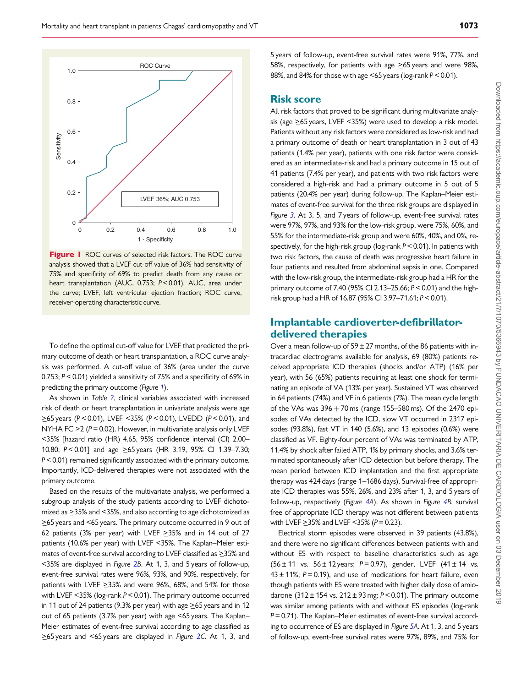

Figure | ROC curves of selected risk factors. The ROC curve analysis showed that a LVEF cut-off value of 36% had sensitivity of 75% and specificity of 69% to predict death from any cause or heart transplantation (AUC, 0.753; P< 0.01). AUC, area under the curve; LVEF, left ventricular ejection fraction; ROC curve, receiver-operating characteristic curve.

To define the optimal cut-off value for LVEF that predicted the primary outcome of death or heart transplantation, a ROC curve analysis was performed. A cut-off value of 36% (area under the curve 0.753; P< 0.01) yielded a sensitivity of 75% and a specificity of 69% in predicting the primary outcome (Figure 1).

As shown in Table [2](#page-5-0), clinical variables associated with increased risk of death or heart transplantation in univariate analysis were age  $\geq$ 65 years (P < 0.01), LVEF < 35% (P < 0.01), LVEDD (P < 0.01), and NYHA FC  $>2$  ( $P = 0.02$ ). However, in multivariate analysis only LVEF <35% [hazard ratio (HR) 4.65, 95% confidence interval (CI) 2.00– 10.80; P < 0.01] and age > 65 years (HR 3.19, 95% CI 1.39-7.30; P< 0.01) remained significantly associated with the primary outcome. Importantly, ICD-delivered therapies were not associated with the primary outcome.

Based on the results of the multivariate analysis, we performed a subgroup analysis of the study patients according to LVEF dichotomized as  $\geq$ 35% and <35%, and also according to age dichotomized as >\_65 years and <65 years. The primary outcome occurred in 9 out of 62 patients (3% per year) with LVEF  $\geq$ 35% and in 14 out of 27 patients (10.6% per year) with LVEF <35%. The Kaplan–Meier estimates of event-free survival according to LVEF classified as  $\geq$ 35% and <35% are displayed in Figure [2](#page-4-0)B. At 1, 3, and 5 years of follow-up, event-free survival rates were 96%, 93%, and 90%, respectively, for patients with LVEF  $\geq$ 35% and were 96%, 68%, and 54% for those with LVEF <35% (log-rank P < 0.01). The primary outcome occurred in 11 out of 24 patients (9.3% per year) with age  $\geq$  65 years and in 12 out of 65 patients (3.7% per year) with age <65 years. The Kaplan– Meier estimates of event-free survival according to age classified as  $\geq$ 65 years and <65 years are displayed in Figure [2C](#page-4-0). At 1, 3, and 5 years of follow-up, event-free survival rates were 91%, 77%, and 58%, respectively, for patients with age  $\geq$  65 years and were 98%, 88%, and 84% for those with age <65 years (log-rank P< 0.01).

#### Risk score

All risk factors that proved to be significant during multivariate analysis (age  $\geq$  65 years, LVEF < 35%) were used to develop a risk model. Patients without any risk factors were considered as low-risk and had a primary outcome of death or heart transplantation in 3 out of 43 patients (1.4% per year), patients with one risk factor were considered as an intermediate-risk and had a primary outcome in 15 out of 41 patients (7.4% per year), and patients with two risk factors were considered a high-risk and had a primary outcome in 5 out of 5 patients (20.4% per year) during follow-up. The Kaplan–Meier estimates of event-free survival for the three risk groups are displayed in Figure [3](#page-5-0). At 3, 5, and 7 years of follow-up, event-free survival rates were 97%, 97%, and 93% for the low-risk group, were 75%, 60%, and 55% for the intermediate-risk group and were 60%, 40%, and 0%, respectively, for the high-risk group (log-rank P< 0.01). In patients with two risk factors, the cause of death was progressive heart failure in four patients and resulted from abdominal sepsis in one. Compared with the low-risk group, the intermediate-risk group had a HR for the primary outcome of 7.40 (95% CI 2.13–25.66; P < 0.01) and the highrisk group had a HR of 16.87 (95% CI 3.97–71.61; P< 0.01).

### Implantable cardioverter-defibrillatordelivered therapies

Over a mean follow-up of  $59 \pm 27$  months, of the 86 patients with intracardiac electrograms available for analysis, 69 (80%) patients received appropriate ICD therapies (shocks and/or ATP) (16% per year), with 56 (65%) patients requiring at least one shock for terminating an episode of VA (13% per year). Sustained VT was observed in 64 patients (74%) and VF in 6 patients (7%). The mean cycle length of the VAs was  $396 + 70$  ms (range 155–580 ms). Of the 2470 episodes of VAs detected by the ICD, slow VT occurred in 2317 episodes (93.8%), fast VT in 140 (5.6%), and 13 episodes (0.6%) were classified as VF. Eighty-four percent of VAs was terminated by ATP, 11.4% by shock after failed ATP, 1% by primary shocks, and 3.6% terminated spontaneously after ICD detection but before therapy. The mean period between ICD implantation and the first appropriate therapy was 424 days (range 1–1686 days). Survival-free of appropriate ICD therapies was 55%, 26%, and 23% after 1, 3, and 5 years of follow-up, respectively (Figure [4A](#page-6-0)). As shown in Figure [4B](#page-6-0), survival free of appropriate ICD therapy was not different between patients with LVEF  $\geq$ 35% and LVEF <35% ( $P = 0.23$ ).

Electrical storm episodes were observed in 39 patients (43.8%), and there were no significant differences between patients with and without ES with respect to baseline characteristics such as age  $(56 \pm 11 \text{ vs. } 56 \pm 12 \text{ years}; P = 0.97)$ , gender, LVEF  $(41 \pm 14 \text{ vs. } 11 \text{ years})$  $43 \pm 11$ %; P = 0.19), and use of medications for heart failure, even though patients with ES were treated with higher daily dose of amiodarone (312 $\pm$  154 vs. 212 $\pm$  93 mg; P < 0.01). The primary outcome was similar among patients with and without ES episodes (log-rank P = 0.71). The Kaplan–Meier estimates of event-free survival accord-ing to occurrence of ES are displayed in Figure [5A](#page-6-0). At 1, 3, and 5 years of follow-up, event-free survival rates were 97%, 89%, and 75% for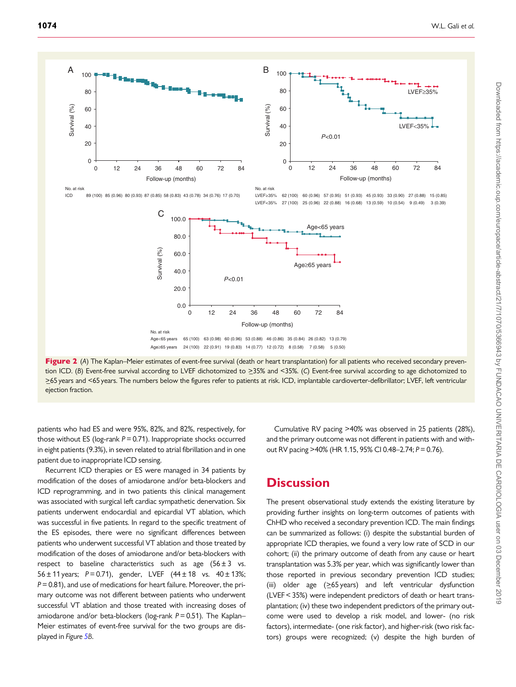<span id="page-4-0"></span>



patients who had ES and were 95%, 82%, and 82%, respectively, for those without ES (log-rank  $P = 0.71$ ). Inappropriate shocks occurred in eight patients (9.3%), in seven related to atrial fibrillation and in one patient due to inappropriate ICD sensing.

Recurrent ICD therapies or ES were managed in 34 patients by modification of the doses of amiodarone and/or beta-blockers and ICD reprogramming, and in two patients this clinical management was associated with surgical left cardiac sympathetic denervation. Six patients underwent endocardial and epicardial VT ablation, which was successful in five patients. In regard to the specific treatment of the ES episodes, there were no significant differences between patients who underwent successful VT ablation and those treated by modification of the doses of amiodarone and/or beta-blockers with respect to baseline characteristics such as age  $(56 \pm 3 \text{ vs.})$ 56 ± 11 years;  $P = 0.71$ ), gender, LVEF (44 ± 18 vs. 40 ± 13%;  $P = 0.81$ ), and use of medications for heart failure. Moreover, the primary outcome was not different between patients who underwent successful VT ablation and those treated with increasing doses of amiodarone and/or beta-blockers (log-rank  $P = 0.51$ ). The Kaplan– Meier estimates of event-free survival for the two groups are displayed in Figure [5B](#page-6-0).

Cumulative RV pacing >40% was observed in 25 patients (28%), and the primary outcome was not different in patients with and without RV pacing >40% (HR 1.15, 95% CI 0.48–2.74; P= 0.76).

# **Discussion**

The present observational study extends the existing literature by providing further insights on long-term outcomes of patients with ChHD who received a secondary prevention ICD. The main findings can be summarized as follows: (i) despite the substantial burden of appropriate ICD therapies, we found a very low rate of SCD in our cohort; (ii) the primary outcome of death from any cause or heart transplantation was 5.3% per year, which was significantly lower than those reported in previous secondary prevention ICD studies; (iii) older age  $(≥65 \text{ years})$  and left ventricular dysfunction (LVEF < 35%) were independent predictors of death or heart transplantation; (iv) these two independent predictors of the primary outcome were used to develop a risk model, and lower- (no risk factors), intermediate- (one risk factor), and higher-risk (two risk factors) groups were recognized; (v) despite the high burden of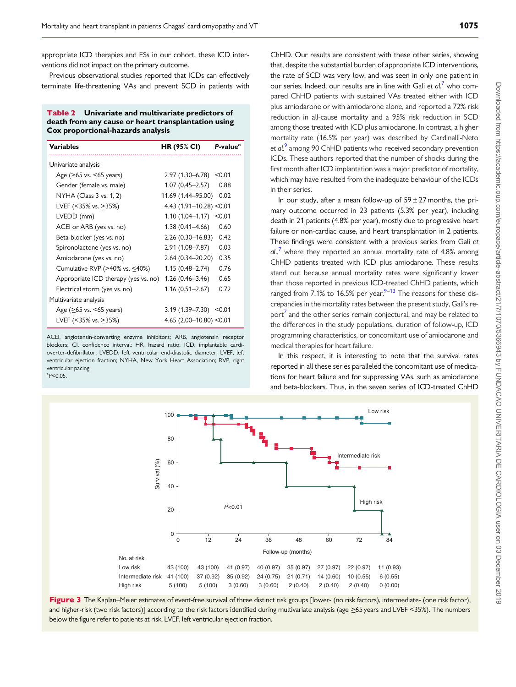<span id="page-5-0"></span>appropriate ICD therapies and ESs in our cohort, these ICD interventions did not impact on the primary outcome.

Previous observational studies reported that ICDs can effectively terminate life-threatening VAs and prevent SCD in patients with

#### Table 2 Univariate and multivariate predictors of death from any cause or heart transplantation using Cox proportional-hazards analysis

| Variables                                 | <b>HR (95% CI)</b>          | P-value <sup>a</sup> |
|-------------------------------------------|-----------------------------|----------------------|
| Univariate analysis                       |                             |                      |
| Age ( $\geq$ 65 vs. <65 years)            | 2.97 (1.30–6.78)            | < 0.01               |
| Gender (female vs. male)                  | $1.07(0.45 - 2.57)$         | 0.88                 |
| NYHA (Class 3 vs. 1, 2)                   | 11.69 (1.44–95.00)          | 0.02                 |
| LVEF (<35% vs. $\geq$ 35%)                | $4.43(1.91 - 10.28)$ < 0.01 |                      |
| LVEDD (mm)                                | $1.10(1.04 - 1.17)$         | < 0.01               |
| ACEI or ARB (yes vs. no)                  | $1.38(0.41 - 4.66)$         | 0.60                 |
| Beta-blocker (yes vs. no)                 | $2.26(0.30-16.83)$          | 0.42                 |
| Spironolactone (yes vs. no)               | 2.91 (1.08-7.87)            | 0.03                 |
| Amiodarone (yes vs. no)                   | $2.64(0.34 - 20.20)$        | 0.35                 |
| Cumulative RVP ( $>40\%$ vs. $\leq 40\%)$ | $1.15(0.48 - 2.74)$         | 0.76                 |
| Appropriate ICD therapy (yes vs. no)      | $1.26(0.46 - 3.46)$         | 0.65                 |
| Electrical storm (yes vs. no)             | $1.16(0.51 - 2.67)$         | 0.72                 |
| Multivariate analysis                     |                             |                      |
| Age ( $\geq$ 65 vs. <65 years)            | 3.19 (1.39–7.30)            | < 0.01               |
| LVEF (<35% vs. >35%)                      | $4.65(2.00-10.80)$ < 0.01   |                      |

ACEI, angiotensin-converting enzyme inhibitors; ARB, angiotensin receptor blockers; CI, confidence interval; HR, hazard ratio; ICD, implantable cardioverter-defibrillator; LVEDD, left ventricular end-diastolic diameter; LVEF, left ventricular ejection fraction; NYHA, New York Heart Association; RVP, right ventricular pacing.

 $\textdegree P$  < 0.05.

ChHD. Our results are consistent with these other series, showing that, despite the substantial burden of appropriate ICD interventions, the rate of SCD was very low, and was seen in only one patient in our series. Indeed, our results are in line with Gali et al.<sup>[7](#page-8-0)</sup> who compared ChHD patients with sustained VAs treated either with ICD plus amiodarone or with amiodarone alone, and reported a 72% risk reduction in all-cause mortality and a 95% risk reduction in SCD among those treated with ICD plus amiodarone. In contrast, a higher mortality rate (16.5% per year) was described by Cardinalli-Neto et al.<sup>[9](#page-8-0)</sup> among 90 ChHD patients who received secondary prevention ICDs. These authors reported that the number of shocks during the first month after ICD implantation was a major predictor of mortality, which may have resulted from the inadequate behaviour of the ICDs in their series.

In our study, after a mean follow-up of  $59 \pm 27$  months, the primary outcome occurred in 23 patients (5.3% per year), including death in 21 patients (4.8% per year), mostly due to progressive heart failure or non-cardiac cause, and heart transplantation in 2 patients. These findings were consistent with a previous series from Gali et  $al.,$ <sup>[7](#page-8-0)</sup> where they reported an annual mortality rate of 4.8% among ChHD patients treated with ICD plus amiodarone. These results stand out because annual mortality rates were significantly lower than those reported in previous ICD-treated ChHD patients, which ranged from 7.1% to 16.5% per year. $9-13$  The reasons for these discrepancies in the mortality rates between the present study, Gali's re- $port<sup>7</sup>$  $port<sup>7</sup>$  $port<sup>7</sup>$  and the other series remain conjectural, and may be related to the differences in the study populations, duration of follow-up, ICD programming characteristics, or concomitant use of amiodarone and medical therapies for heart failure.

In this respect, it is interesting to note that the survival rates reported in all these series paralleled the concomitant use of medications for heart failure and for suppressing VAs, such as amiodarone and beta-blockers. Thus, in the seven series of ICD-treated ChHD



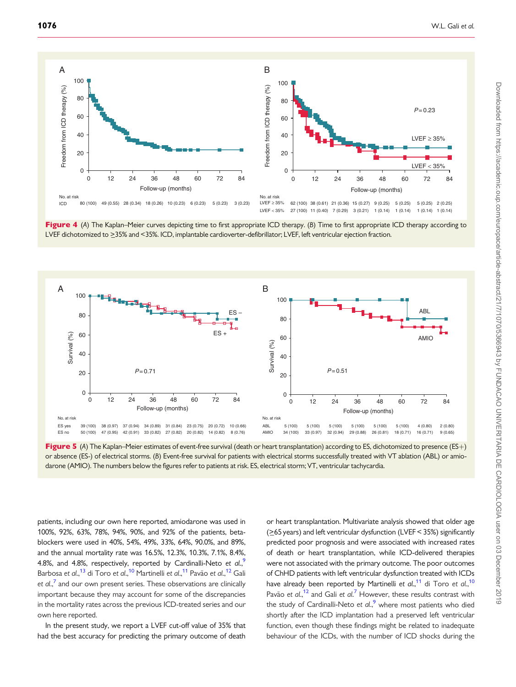<span id="page-6-0"></span>





**Figure 5** (A) The Kaplan–Meier estimates of event-free survival (death or heart transplantation) according to ES, dichotomized to presence (ES+) or absence (ES-) of electrical storms. (B) Event-free survival for patients with electrical storms successfully treated with VT ablation (ABL) or amiodarone (AMIO). The numbers below the figures refer to patients at risk. ES, electrical storm; VT, ventricular tachycardia.

patients, including our own here reported, amiodarone was used in 100%, 92%, 63%, 78%, 94%, 90%, and 92% of the patients, betablockers were used in 40%, 54%, 49%, 33%, 64%, 90.0%, and 89%, and the annual mortality rate was 16.5%, 12.3%, 10.3%, 7.1%, 8.4%, 4.8%, and 4.8%, respectively, reported by Cardinalli-Neto et al.,<sup>[9](#page-8-0)</sup> Barbosa et al.,<sup>[13](#page-8-0)</sup> di Toro et al.,<sup>[10](#page-8-0)</sup> Martinelli et al.,<sup>[11](#page-8-0)</sup> Pavão et al.,<sup>[12](#page-8-0)</sup> Gali et  $al$ , $^7$  $^7$  and our own present series. These observations are clinically important because they may account for some of the discrepancies in the mortality rates across the previous ICD-treated series and our own here reported.

In the present study, we report a LVEF cut-off value of 35% that had the best accuracy for predicting the primary outcome of death or heart transplantation. Multivariate analysis showed that older age ( $\geq$ 65 years) and left ventricular dysfunction (LVEF < 35%) significantly predicted poor prognosis and were associated with increased rates of death or heart transplantation, while ICD-delivered therapies were not associated with the primary outcome. The poor outcomes of ChHD patients with left ventricular dysfunction treated with ICDs have already been reported by Martinelli et al.,<sup>[11](#page-8-0)</sup> di Toro et al.,<sup>[10](#page-8-0)</sup> Pavão et  $al$ ,  $^{12}$  $^{12}$  $^{12}$  and Gali et  $al$ .<sup>[7](#page-8-0)</sup> However, these results contrast with the study of Cardinalli-Neto et al.,<sup>[9](#page-8-0)</sup> where most patients who died shortly after the ICD implantation had a preserved left ventricular function, even though these findings might be related to inadequate behaviour of the ICDs, with the number of ICD shocks during the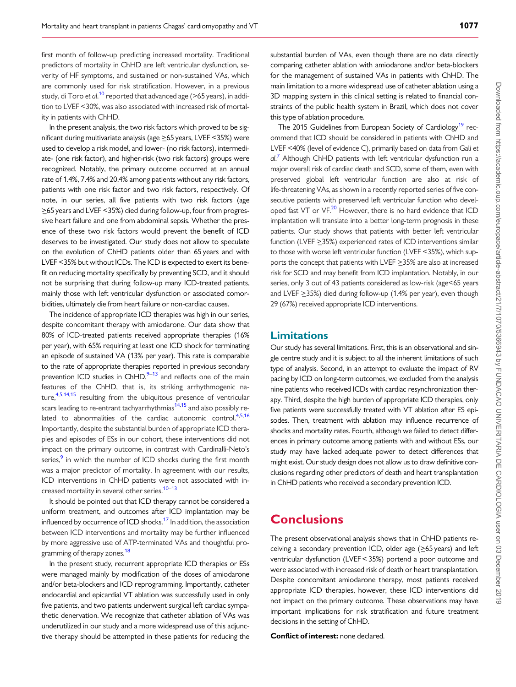<span id="page-7-0"></span>first month of follow-up predicting increased mortality. Traditional predictors of mortality in ChHD are left ventricular dysfunction, severity of HF symptoms, and sustained or non-sustained VAs, which are commonly used for risk stratification. However, in a previous study, di Toro et al.<sup>[10](#page-8-0)</sup> reported that advanced age (>65 years), in addition to LVEF <30%, was also associated with increased risk of mortality in patients with ChHD.

In the present analysis, the two risk factors which proved to be significant during multivariate analysis (age  $\geq$  65 years, LVEF <35%) were used to develop a risk model, and lower- (no risk factors), intermediate- (one risk factor), and higher-risk (two risk factors) groups were recognized. Notably, the primary outcome occurred at an annual rate of 1.4%, 7.4% and 20.4% among patients without any risk factors, patients with one risk factor and two risk factors, respectively. Of note, in our series, all five patients with two risk factors (age >\_65 years and LVEF <35%) died during follow-up, four from progressive heart failure and one from abdominal sepsis. Whether the presence of these two risk factors would prevent the benefit of ICD deserves to be investigated. Our study does not allow to speculate on the evolution of ChHD patients older than 65 years and with LVEF <35% but without ICDs. The ICD is expected to exert its benefit on reducing mortality specifically by preventing SCD, and it should not be surprising that during follow-up many ICD-treated patients, mainly those with left ventricular dysfunction or associated comorbidities, ultimately die from heart failure or non-cardiac causes.

The incidence of appropriate ICD therapies was high in our series, despite concomitant therapy with amiodarone. Our data show that 80% of ICD-treated patients received appropriate therapies (16% per year), with 65% requiring at least one ICD shock for terminating an episode of sustained VA (13% per year). This rate is comparable to the rate of appropriate therapies reported in previous secondary prevention ICD studies in  $ChHD$ ,  $9-13$  and reflects one of the main features of the ChHD, that is, its striking arrhythmogenic nature,<sup>4,5,14,15</sup> resulting from the ubiquitous presence of ventricular scars leading to re-entrant tachyarrhythmias<sup>14,15</sup> and also possibly related to abnormalities of the cardiac autonomic control.<sup>4,5,16</sup> Importantly, despite the substantial burden of appropriate ICD therapies and episodes of ESs in our cohort, these interventions did not impact on the primary outcome, in contrast with Cardinalli-Neto's series, $\frac{9}{1}$  $\frac{9}{1}$  $\frac{9}{1}$  in which the number of ICD shocks during the first month was a major predictor of mortality. In agreement with our results, ICD interventions in ChHD patients were not associated with increased mortality in several other series. $10-13$ 

It should be pointed out that ICD therapy cannot be considered a uniform treatment, and outcomes after ICD implantation may be influenced by occurrence of ICD shocks.<sup>17</sup> In addition, the association between ICD interventions and mortality may be further influenced by more aggressive use of ATP-terminated VAs and thoughtful pro-gramming of therapy zones.<sup>[18](#page-8-0)</sup>

In the present study, recurrent appropriate ICD therapies or ESs were managed mainly by modification of the doses of amiodarone and/or beta-blockers and ICD reprogramming. Importantly, catheter endocardial and epicardial VT ablation was successfully used in only five patients, and two patients underwent surgical left cardiac sympathetic denervation. We recognize that catheter ablation of VAs was underutilized in our study and a more widespread use of this adjunctive therapy should be attempted in these patients for reducing the

substantial burden of VAs, even though there are no data directly comparing catheter ablation with amiodarone and/or beta-blockers for the management of sustained VAs in patients with ChHD. The main limitation to a more widespread use of catheter ablation using a 3D mapping system in this clinical setting is related to financial constraints of the public health system in Brazil, which does not cover this type of ablation procedure.

The 2015 Guidelines from European Society of Cardiology<sup>19</sup> recommend that ICD should be considered in patients with ChHD and LVEF <40% (level of evidence C), primarily based on data from Gali et al.<sup>[7](#page-8-0)</sup> Although ChHD patients with left ventricular dysfunction run a major overall risk of cardiac death and SCD, some of them, even with preserved global left ventricular function are also at risk of life-threatening VAs, as shown in a recently reported series of five consecutive patients with preserved left ventricular function who developed fast VT or VF.<sup>20</sup> However, there is no hard evidence that ICD implantation will translate into a better long-term prognosis in these patients. Our study shows that patients with better left ventricular function (LVEF  $\geq$ 35%) experienced rates of ICD interventions similar to those with worse left ventricular function (LVEF <35%), which supports the concept that patients with LVEF  $\geq$ 35% are also at increased risk for SCD and may benefit from ICD implantation. Notably, in our series, only 3 out of 43 patients considered as low-risk (age<65 years and LVEF  $\geq$ 35%) died during follow-up (1.4% per year), even though 29 (67%) received appropriate ICD interventions.

#### Limitations

Our study has several limitations. First, this is an observational and single centre study and it is subject to all the inherent limitations of such type of analysis. Second, in an attempt to evaluate the impact of RV pacing by ICD on long-term outcomes, we excluded from the analysis nine patients who received ICDs with cardiac resynchronization therapy. Third, despite the high burden of appropriate ICD therapies, only five patients were successfully treated with VT ablation after ES episodes. Then, treatment with ablation may influence recurrence of shocks and mortality rates. Fourth, although we failed to detect differences in primary outcome among patients with and without ESs, our study may have lacked adequate power to detect differences that might exist. Our study design does not allow us to draw definitive conclusions regarding other predictors of death and heart transplantation in ChHD patients who received a secondary prevention ICD.

## **Conclusions**

The present observational analysis shows that in ChHD patients receiving a secondary prevention ICD, older age  $(≥65$  years) and left ventricular dysfunction (LVEF < 35%) portend a poor outcome and were associated with increased risk of death or heart transplantation. Despite concomitant amiodarone therapy, most patients received appropriate ICD therapies, however, these ICD interventions did not impact on the primary outcome. These observations may have important implications for risk stratification and future treatment decisions in the setting of ChHD.

Conflict of interest: none declared.